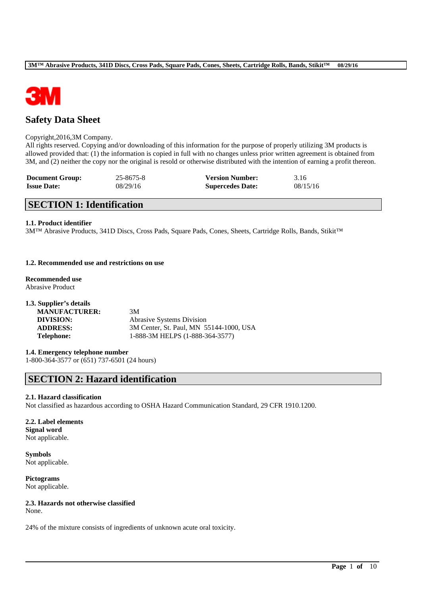

# **Safety Data Sheet**

### Copyright,2016,3M Company.

All rights reserved. Copying and/or downloading of this information for the purpose of properly utilizing 3M products is allowed provided that: (1) the information is copied in full with no changes unless prior written agreement is obtained from 3M, and (2) neither the copy nor the original is resold or otherwise distributed with the intention of earning a profit thereon.

| <b>Document Group:</b> | 25-8675-8 | <b>Version Number:</b>  | 3.16     |
|------------------------|-----------|-------------------------|----------|
| <b>Issue Date:</b>     | 08/29/16  | <b>Supercedes Date:</b> | 08/15/16 |

# **SECTION 1: Identification**

### **1.1. Product identifier**

3M™ Abrasive Products, 341D Discs, Cross Pads, Square Pads, Cones, Sheets, Cartridge Rolls, Bands, Stikit™

### **1.2. Recommended use and restrictions on use**

**Recommended use** Abrasive Product

| 1.3. Supplier's details |                                         |
|-------------------------|-----------------------------------------|
| <b>MANUFACTURER:</b>    | 3M                                      |
| DIVISION:               | <b>Abrasive Systems Division</b>        |
| <b>ADDRESS:</b>         | 3M Center, St. Paul, MN 55144-1000, USA |
| <b>Telephone:</b>       | 1-888-3M HELPS (1-888-364-3577)         |

## **1.4. Emergency telephone number**

1-800-364-3577 or (651) 737-6501 (24 hours)

# **SECTION 2: Hazard identification**

### **2.1. Hazard classification**

Not classified as hazardous according to OSHA Hazard Communication Standard, 29 CFR 1910.1200.

\_\_\_\_\_\_\_\_\_\_\_\_\_\_\_\_\_\_\_\_\_\_\_\_\_\_\_\_\_\_\_\_\_\_\_\_\_\_\_\_\_\_\_\_\_\_\_\_\_\_\_\_\_\_\_\_\_\_\_\_\_\_\_\_\_\_\_\_\_\_\_\_\_\_\_\_\_\_\_\_\_\_\_\_\_\_\_\_\_\_

### **2.2. Label elements Signal word** Not applicable.

**Symbols** Not applicable.

**Pictograms** Not applicable.

# **2.3. Hazards not otherwise classified**

None.

24% of the mixture consists of ingredients of unknown acute oral toxicity.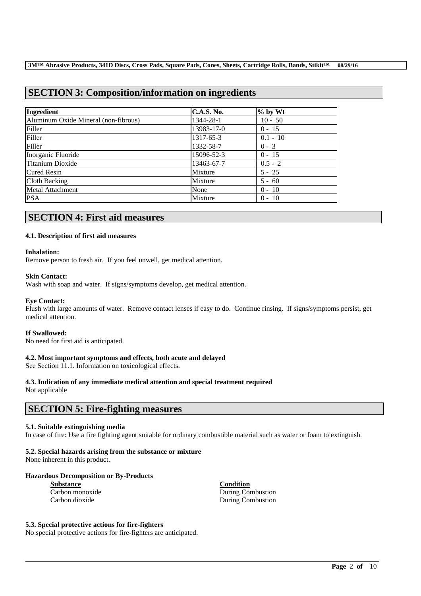# **SECTION 3: Composition/information on ingredients**

| Ingredient                           | <b>C.A.S. No.</b> | $%$ by Wt  |
|--------------------------------------|-------------------|------------|
| Aluminum Oxide Mineral (non-fibrous) | 1344-28-1         | $10 - 50$  |
| Filler                               | 13983-17-0        | $0 - 15$   |
| Filler                               | 1317-65-3         | $0.1 - 10$ |
| Filler                               | 1332-58-7         | $0 - 3$    |
| Inorganic Fluoride                   | 15096-52-3        | $0 - 15$   |
| Titanium Dioxide                     | 13463-67-7        | $0.5 - 2$  |
| <b>Cured Resin</b>                   | Mixture           | $5 - 25$   |
| Cloth Backing                        | Mixture           | $5 - 60$   |
| Metal Attachment                     | None              | $0 - 10$   |
| <b>PSA</b>                           | Mixture           | $0 - 10$   |

# **SECTION 4: First aid measures**

### **4.1. Description of first aid measures**

### **Inhalation:**

Remove person to fresh air. If you feel unwell, get medical attention.

### **Skin Contact:**

Wash with soap and water. If signs/symptoms develop, get medical attention.

### **Eye Contact:**

Flush with large amounts of water. Remove contact lenses if easy to do. Continue rinsing. If signs/symptoms persist, get medical attention.

### **If Swallowed:**

No need for first aid is anticipated.

## **4.2. Most important symptoms and effects, both acute and delayed**

See Section 11.1. Information on toxicological effects.

## **4.3. Indication of any immediate medical attention and special treatment required**

Not applicable

# **SECTION 5: Fire-fighting measures**

### **5.1. Suitable extinguishing media**

In case of fire: Use a fire fighting agent suitable for ordinary combustible material such as water or foam to extinguish.

\_\_\_\_\_\_\_\_\_\_\_\_\_\_\_\_\_\_\_\_\_\_\_\_\_\_\_\_\_\_\_\_\_\_\_\_\_\_\_\_\_\_\_\_\_\_\_\_\_\_\_\_\_\_\_\_\_\_\_\_\_\_\_\_\_\_\_\_\_\_\_\_\_\_\_\_\_\_\_\_\_\_\_\_\_\_\_\_\_\_

## **5.2. Special hazards arising from the substance or mixture**

None inherent in this product.

## **Hazardous Decomposition or By-Products**

| <b>Substance</b> |  |  |  |
|------------------|--|--|--|
| Carbon monoxide  |  |  |  |
| Carbon dioxide   |  |  |  |

**Substance Condition** During Combustion During Combustion

### **5.3. Special protective actions for fire-fighters**

No special protective actions for fire-fighters are anticipated.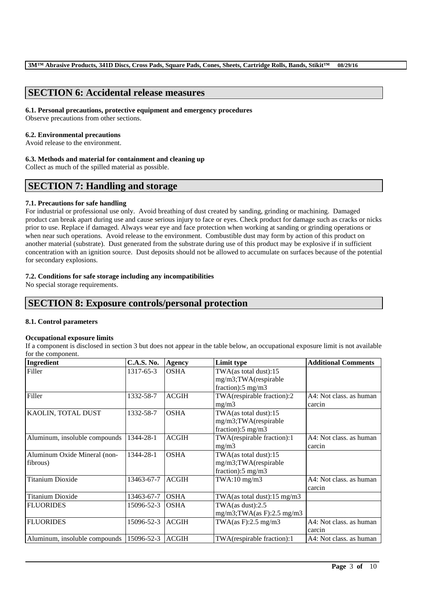# **SECTION 6: Accidental release measures**

### **6.1. Personal precautions, protective equipment and emergency procedures**

Observe precautions from other sections.

### **6.2. Environmental precautions**

Avoid release to the environment.

### **6.3. Methods and material for containment and cleaning up**

Collect as much of the spilled material as possible.

# **SECTION 7: Handling and storage**

## **7.1. Precautions for safe handling**

For industrial or professional use only. Avoid breathing of dust created by sanding, grinding or machining. Damaged product can break apart during use and cause serious injury to face or eyes. Check product for damage such as cracks or nicks prior to use. Replace if damaged. Always wear eye and face protection when working at sanding or grinding operations or when near such operations. Avoid release to the environment. Combustible dust may form by action of this product on another material (substrate). Dust generated from the substrate during use of this product may be explosive if in sufficient concentration with an ignition source. Dust deposits should not be allowed to accumulate on surfaces because of the potential for secondary explosions.

# **7.2. Conditions for safe storage including any incompatibilities**

No special storage requirements.

# **SECTION 8: Exposure controls/personal protection**

## **8.1. Control parameters**

## **Occupational exposure limits**

If a component is disclosed in section 3 but does not appear in the table below, an occupational exposure limit is not available for the component.

| <b>Ingredient</b>             | <b>C.A.S. No.</b> | <b>Agency</b> | <b>Limit type</b>              | <b>Additional Comments</b> |
|-------------------------------|-------------------|---------------|--------------------------------|----------------------------|
| Filler                        | 1317-65-3         | <b>OSHA</b>   | TWA(as total dust):15          |                            |
|                               |                   |               | mg/m3;TWA(respirable           |                            |
|                               |                   |               | fraction): $5 \text{ mg/m}$ 3  |                            |
| Filler                        | 1332-58-7         | <b>ACGIH</b>  | TWA(respirable fraction):2     | A4: Not class, as human    |
|                               |                   |               | mg/m3                          | carcin                     |
| KAOLIN, TOTAL DUST            | 1332-58-7         | <b>OSHA</b>   | TWA(as total dust):15          |                            |
|                               |                   |               | mg/m3;TWA(respirable           |                            |
|                               |                   |               | fraction):5 mg/m3              |                            |
| Aluminum, insoluble compounds | 1344-28-1         | <b>ACGIH</b>  | TWA(respirable fraction):1     | A4: Not class. as human    |
|                               |                   |               | mg/m3                          | carcin                     |
| Aluminum Oxide Mineral (non-  | 1344-28-1         | <b>OSHA</b>   | TWA(as total dust):15          |                            |
| fibrous)                      |                   |               | mg/m3;TWA(respirable           |                            |
|                               |                   |               | fraction): $5 \text{ mg/m}$ 3  |                            |
| <b>Titanium Dioxide</b>       | 13463-67-7        | <b>ACGIH</b>  | $TWA:10$ mg/m $3$              | A4: Not class, as human    |
|                               |                   |               |                                | carcin                     |
| <b>Titanium Dioxide</b>       | 13463-67-7        | <b>OSHA</b>   | TWA(as total dust):15 mg/m3    |                            |
| <b>FLUORIDES</b>              | 15096-52-3        | <b>OSHA</b>   | TWA $(as dust):2.5$            |                            |
|                               |                   |               | $mg/m3$ ; TWA(as F): 2.5 mg/m3 |                            |
| <b>FLUORIDES</b>              | 15096-52-3        | <b>ACGIH</b>  | TWA(as F):2.5 mg/m3            | A4: Not class. as human    |
|                               |                   |               |                                | carcin                     |
| Aluminum, insoluble compounds | 15096-52-3        | <b>ACGIH</b>  | TWA(respirable fraction):1     | A4: Not class, as human    |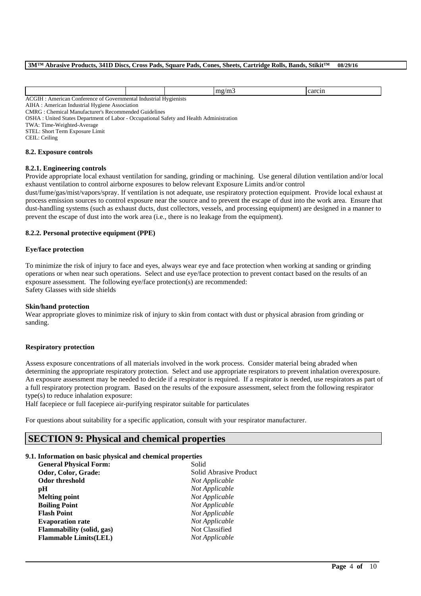|                                                                       |                        | <b>000017</b><br>мΓ |
|-----------------------------------------------------------------------|------------------------|---------------------|
| ACG<br>Industrial<br>American<br>`onterence_<br>t Governmental<br>: വ | <b>Hygienists</b><br>. |                     |

AIHA : American Industrial Hygiene Association

CMRG : Chemical Manufacturer's Recommended Guidelines

OSHA : United States Department of Labor - Occupational Safety and Health Administration

TWA: Time-Weighted-Average

STEL: Short Term Exposure Limit

CEIL: Ceiling

### **8.2. Exposure controls**

### **8.2.1. Engineering controls**

Provide appropriate local exhaust ventilation for sanding, grinding or machining. Use general dilution ventilation and/or local exhaust ventilation to control airborne exposures to below relevant Exposure Limits and/or control

dust/fume/gas/mist/vapors/spray. If ventilation is not adequate, use respiratory protection equipment. Provide local exhaust at process emission sources to control exposure near the source and to prevent the escape of dust into the work area. Ensure that dust-handling systems (such as exhaust ducts, dust collectors, vessels, and processing equipment) are designed in a manner to prevent the escape of dust into the work area (i.e., there is no leakage from the equipment).

### **8.2.2. Personal protective equipment (PPE)**

### **Eye/face protection**

To minimize the risk of injury to face and eyes, always wear eye and face protection when working at sanding or grinding operations or when near such operations. Select and use eye/face protection to prevent contact based on the results of an exposure assessment. The following eye/face protection(s) are recommended: Safety Glasses with side shields

### **Skin/hand protection**

Wear appropriate gloves to minimize risk of injury to skin from contact with dust or physical abrasion from grinding or sanding.

### **Respiratory protection**

Assess exposure concentrations of all materials involved in the work process. Consider material being abraded when determining the appropriate respiratory protection. Select and use appropriate respirators to prevent inhalation overexposure. An exposure assessment may be needed to decide if a respirator is required. If a respirator is needed, use respirators as part of a full respiratory protection program. Based on the results of the exposure assessment, select from the following respirator type(s) to reduce inhalation exposure:

\_\_\_\_\_\_\_\_\_\_\_\_\_\_\_\_\_\_\_\_\_\_\_\_\_\_\_\_\_\_\_\_\_\_\_\_\_\_\_\_\_\_\_\_\_\_\_\_\_\_\_\_\_\_\_\_\_\_\_\_\_\_\_\_\_\_\_\_\_\_\_\_\_\_\_\_\_\_\_\_\_\_\_\_\_\_\_\_\_\_

Half facepiece or full facepiece air-purifying respirator suitable for particulates

For questions about suitability for a specific application, consult with your respirator manufacturer.

# **SECTION 9: Physical and chemical properties**

### **9.1. Information on basic physical and chemical properties**

| <b>General Physical Form:</b> | Solid                  |
|-------------------------------|------------------------|
| Odor, Color, Grade:           | Solid Abrasive Product |
| <b>Odor threshold</b>         | Not Applicable         |
| рH                            | Not Applicable         |
| <b>Melting point</b>          | Not Applicable         |
| <b>Boiling Point</b>          | Not Applicable         |
| <b>Flash Point</b>            | Not Applicable         |
| <b>Evaporation rate</b>       | Not Applicable         |
| Flammability (solid, gas)     | Not Classified         |
| <b>Flammable Limits(LEL)</b>  | Not Applicable         |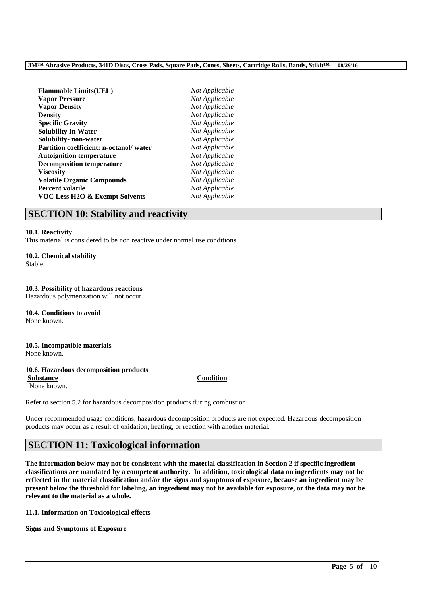| Not Applicable |
|----------------|
| Not Applicable |
| Not Applicable |
| Not Applicable |
| Not Applicable |
| Not Applicable |
| Not Applicable |
| Not Applicable |
| Not Applicable |
| Not Applicable |
| Not Applicable |
| Not Applicable |
| Not Applicable |
| Not Applicable |
|                |

# **SECTION 10: Stability and reactivity**

### **10.1. Reactivity**

This material is considered to be non reactive under normal use conditions.

## **10.2. Chemical stability**

Stable.

# **10.3. Possibility of hazardous reactions**

Hazardous polymerization will not occur.

**10.4. Conditions to avoid** None known.

### **10.5. Incompatible materials** None known.

## **10.6. Hazardous decomposition products**

**Substance Condition**

None known.

Refer to section 5.2 for hazardous decomposition products during combustion.

Under recommended usage conditions, hazardous decomposition products are not expected. Hazardous decomposition products may occur as a result of oxidation, heating, or reaction with another material.

# **SECTION 11: Toxicological information**

**The information below may not be consistent with the material classification in Section 2 if specific ingredient classifications are mandated by a competent authority. In addition, toxicological data on ingredients may not be reflected in the material classification and/or the signs and symptoms of exposure, because an ingredient may be present below the threshold for labeling, an ingredient may not be available for exposure, or the data may not be relevant to the material as a whole.**

\_\_\_\_\_\_\_\_\_\_\_\_\_\_\_\_\_\_\_\_\_\_\_\_\_\_\_\_\_\_\_\_\_\_\_\_\_\_\_\_\_\_\_\_\_\_\_\_\_\_\_\_\_\_\_\_\_\_\_\_\_\_\_\_\_\_\_\_\_\_\_\_\_\_\_\_\_\_\_\_\_\_\_\_\_\_\_\_\_\_

**11.1. Information on Toxicological effects**

**Signs and Symptoms of Exposure**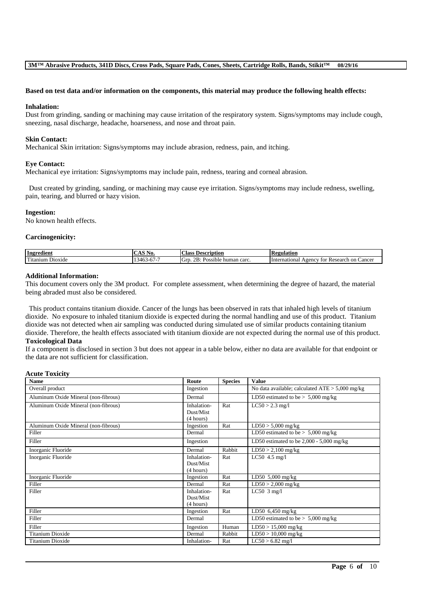### **Based on test data and/or information on the components, this material may produce the following health effects:**

### **Inhalation:**

Dust from grinding, sanding or machining may cause irritation of the respiratory system. Signs/symptoms may include cough, sneezing, nasal discharge, headache, hoarseness, and nose and throat pain.

### **Skin Contact:**

Mechanical Skin irritation: Signs/symptoms may include abrasion, redness, pain, and itching.

### **Eye Contact:**

Mechanical eye irritation: Signs/symptoms may include pain, redness, tearing and corneal abrasion.

Dust created by grinding, sanding, or machining may cause eye irritation. Signs/symptoms may include redness, swelling, pain, tearing, and blurred or hazy vision.

### **Ingestion:**

No known health effects.

### **Carcinogenicity:**

| Ingredient                                                     | .                               | Description<br>∟lass                                      | 'egulation                                                         |
|----------------------------------------------------------------|---------------------------------|-----------------------------------------------------------|--------------------------------------------------------------------|
| <b>CONTACT</b><br>D <sub>10</sub> x <sub>1</sub> de<br>itanium | .34 <sup>h</sup><br>$O/-$<br>᠇୰ | $\cdot$ .<br>OD.<br>carc<br>Grr<br>human<br>sible.<br>AS. | International<br>Cancer<br>$A$ genc $V$<br>Research<br>on (<br>TO1 |

### **Additional Information:**

This document covers only the 3M product. For complete assessment, when determining the degree of hazard, the material being abraded must also be considered.

This product contains titanium dioxide. Cancer of the lungs has been observed in rats that inhaled high levels of titanium dioxide. No exposure to inhaled titanium dioxide is expected during the normal handling and use of this product. Titanium dioxide was not detected when air sampling was conducted during simulated use of similar products containing titanium dioxide. Therefore, the health effects associated with titanium dioxide are not expected during the normal use of this product.

## **Toxicological Data**

If a component is disclosed in section 3 but does not appear in a table below, either no data are available for that endpoint or the data are not sufficient for classification.

### **Acute Toxicity**

| <b>Name</b>                          | Route                                 | <b>Species</b> | <b>Value</b>                                      |
|--------------------------------------|---------------------------------------|----------------|---------------------------------------------------|
| Overall product                      | Ingestion                             |                | No data available; calculated $ATE > 5,000$ mg/kg |
| Aluminum Oxide Mineral (non-fibrous) | Dermal                                |                | LD50 estimated to be $> 5,000$ mg/kg              |
| Aluminum Oxide Mineral (non-fibrous) | Inhalation-<br>Dust/Mist<br>(4 hours) | Rat            | $LC50 > 2.3$ mg/l                                 |
| Aluminum Oxide Mineral (non-fibrous) | Ingestion                             | Rat            | $LD50 > 5,000$ mg/kg                              |
| Filler                               | Dermal                                |                | LD50 estimated to be $> 5,000$ mg/kg              |
| Filler                               | Ingestion                             |                | LD50 estimated to be $2,000 - 5,000$ mg/kg        |
| Inorganic Fluoride                   | Dermal                                | Rabbit         | $LD50 > 2,100$ mg/kg                              |
| Inorganic Fluoride                   | Inhalation-<br>Dust/Mist<br>(4 hours) | Rat            | LC50 4.5 mg/l                                     |
| Inorganic Fluoride                   | Ingestion                             | Rat            | LD50 $5,000$ mg/kg                                |
| Filler                               | Dermal                                | Rat            | $LD50 > 2,000$ mg/kg                              |
| Filler                               | Inhalation-<br>Dust/Mist<br>(4 hours) | Rat            | $LC50$ 3 mg/l                                     |
| Filler                               | Ingestion                             | Rat            | LD50 6,450 mg/kg                                  |
| Filler                               | Dermal                                |                | LD50 estimated to be $> 5,000$ mg/kg              |
| Filler                               | Ingestion                             | Human          | $LD50 > 15,000$ mg/kg                             |
| <b>Titanium Dioxide</b>              | Dermal                                | Rabbit         | $LD50 > 10,000$ mg/kg                             |
| <b>Titanium Dioxide</b>              | Inhalation-                           | Rat            | $LC50 > 6.82$ mg/l                                |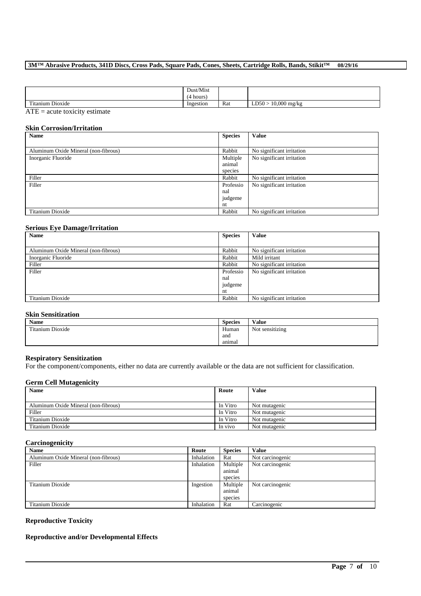|                      | Dust/Mist |     |                                    |
|----------------------|-----------|-----|------------------------------------|
|                      | hours     |     |                                    |
| Titanium.<br>Dioxide | Ingestion | Rat | $10,000 \text{ mg/kg}$<br>D50<br>ᆈ |
| $\sim$ $-$           |           |     |                                    |

ATE = acute toxicity estimate

# **Skin Corrosion/Irritation**

| Name                                 | <b>Species</b> | <b>Value</b>              |
|--------------------------------------|----------------|---------------------------|
|                                      |                |                           |
| Aluminum Oxide Mineral (non-fibrous) | Rabbit         | No significant irritation |
| Inorganic Fluoride                   | Multiple       | No significant irritation |
|                                      | animal         |                           |
|                                      | species        |                           |
| Filler                               | Rabbit         | No significant irritation |
| Filler                               | Professio      | No significant irritation |
|                                      | nal            |                           |
|                                      | judgeme        |                           |
|                                      | nt             |                           |
| Titanium Dioxide                     | Rabbit         | No significant irritation |

# **Serious Eye Damage/Irritation**

| Name                                 | <b>Species</b> | <b>Value</b>              |
|--------------------------------------|----------------|---------------------------|
|                                      |                |                           |
| Aluminum Oxide Mineral (non-fibrous) | Rabbit         | No significant irritation |
| Inorganic Fluoride                   | Rabbit         | Mild irritant             |
| Filler                               | Rabbit         | No significant irritation |
| Filler                               | Professio      | No significant irritation |
|                                      | nal            |                           |
|                                      | judgeme        |                           |
|                                      | nt             |                           |
| Titanium Dioxide                     | Rabbit         | No significant irritation |

# **Skin Sensitization**

| Name             | <b>Species</b> | Value                                        |
|------------------|----------------|----------------------------------------------|
| Titanium Dioxide | Human          | $\cdots$<br>$\sim$ $\sim$<br>Not sensitizing |
|                  | and            |                                              |
|                  | animal         |                                              |

### **Respiratory Sensitization**

For the component/components, either no data are currently available or the data are not sufficient for classification.

### **Germ Cell Mutagenicity**

| <b>Name</b>                          | Route    | <b>Value</b>  |
|--------------------------------------|----------|---------------|
|                                      |          |               |
| Aluminum Oxide Mineral (non-fibrous) | In Vitro | Not mutagenic |
| Filler                               | In Vitro | Not mutagenic |
| Titanium Dioxide                     | In Vitro | Not mutagenic |
| Titanium Dioxide                     | In vivo  | Not mutagenic |

### **Carcinogenicity**

| <b>Name</b>                          | Route      | <b>Species</b> | <b>Value</b>     |
|--------------------------------------|------------|----------------|------------------|
| Aluminum Oxide Mineral (non-fibrous) | Inhalation | Rat            | Not carcinogenic |
| Filler                               | Inhalation | Multiple       | Not carcinogenic |
|                                      |            | animal         |                  |
|                                      |            | species        |                  |
| Titanium Dioxide                     | Ingestion  | Multiple       | Not carcinogenic |
|                                      |            | animal         |                  |
|                                      |            | species        |                  |
| Titanium Dioxide                     | Inhalation | Rat            | Carcinogenic     |

\_\_\_\_\_\_\_\_\_\_\_\_\_\_\_\_\_\_\_\_\_\_\_\_\_\_\_\_\_\_\_\_\_\_\_\_\_\_\_\_\_\_\_\_\_\_\_\_\_\_\_\_\_\_\_\_\_\_\_\_\_\_\_\_\_\_\_\_\_\_\_\_\_\_\_\_\_\_\_\_\_\_\_\_\_\_\_\_\_\_

# **Reproductive Toxicity**

# **Reproductive and/or Developmental Effects**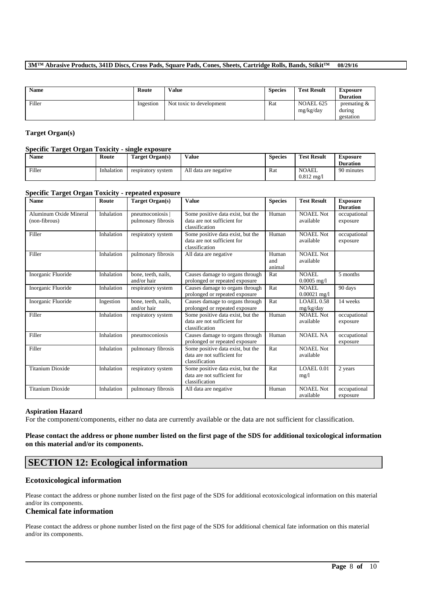| Name   | Route     | <b>Value</b>             | <b>Species</b> | <b>Test Result</b>            | <b>Exposure</b><br><b>Duration</b>    |
|--------|-----------|--------------------------|----------------|-------------------------------|---------------------------------------|
| Filler | Ingestion | Not toxic to development | Rat            | <b>NOAEL 625</b><br>mg/kg/day | premating $\&$<br>during<br>gestation |

## **Target Organ(s)**

### **Specific Target Organ Toxicity - single exposure**

| Name   | Route      | Target Organ(s)    | Value                 | <b>Species</b> | <b>Test Result</b>                   | Exposure<br><b>Duration</b> |
|--------|------------|--------------------|-----------------------|----------------|--------------------------------------|-----------------------------|
| Filler | Inhalation | respiratory system | All data are negative | Rat            | <b>NOAEL</b><br>$0.812 \text{ mg/h}$ | 90 minutes                  |

### **Specific Target Organ Toxicity - repeated exposure**

| <b>Name</b>                             | Route      | <b>Target Organ(s)</b>                 | <b>Value</b>                                                                       | <b>Species</b>         | <b>Test Result</b>             | <b>Exposure</b><br><b>Duration</b> |
|-----------------------------------------|------------|----------------------------------------|------------------------------------------------------------------------------------|------------------------|--------------------------------|------------------------------------|
| Aluminum Oxide Mineral<br>(non-fibrous) | Inhalation | pneumoconiosis  <br>pulmonary fibrosis | Some positive data exist, but the<br>data are not sufficient for<br>classification | Human                  | <b>NOAEL Not</b><br>available  | occupational<br>exposure           |
| Filler                                  | Inhalation | respiratory system                     | Some positive data exist, but the<br>data are not sufficient for<br>classification | Human                  | <b>NOAEL Not</b><br>available  | occupational<br>exposure           |
| Filler                                  | Inhalation | pulmonary fibrosis                     | All data are negative                                                              | Human<br>and<br>animal | <b>NOAEL Not</b><br>available  |                                    |
| Inorganic Fluoride                      | Inhalation | bone, teeth, nails,<br>and/or hair     | Causes damage to organs through<br>prolonged or repeated exposure                  | Rat                    | NOAEL<br>$0.0005$ mg/l         | 5 months                           |
| Inorganic Fluoride                      | Inhalation | respiratory system                     | Causes damage to organs through<br>prolonged or repeated exposure                  | Rat                    | <b>NOAEL</b><br>$0.00021$ mg/l | 90 days                            |
| Inorganic Fluoride                      | Ingestion  | bone, teeth, nails,<br>and/or hair     | Causes damage to organs through<br>prolonged or repeated exposure                  | Rat                    | <b>LOAEL0.58</b><br>mg/kg/day  | 14 weeks                           |
| Filler                                  | Inhalation | respiratory system                     | Some positive data exist, but the<br>data are not sufficient for<br>classification | Human                  | <b>NOAEL Not</b><br>available  | occupational<br>exposure           |
| Filler                                  | Inhalation | pneumoconiosis                         | Causes damage to organs through<br>prolonged or repeated exposure                  | Human                  | <b>NOAEL NA</b>                | occupational<br>exposure           |
| Filler                                  | Inhalation | pulmonary fibrosis                     | Some positive data exist, but the<br>data are not sufficient for<br>classification | Rat                    | <b>NOAEL Not</b><br>available  |                                    |
| <b>Titanium Dioxide</b>                 | Inhalation | respiratory system                     | Some positive data exist, but the<br>data are not sufficient for<br>classification | Rat                    | LOAEL 0.01<br>mg/1             | 2 years                            |
| <b>Titanium Dioxide</b>                 | Inhalation | pulmonary fibrosis                     | All data are negative                                                              | Human                  | <b>NOAEL Not</b><br>available  | occupational<br>exposure           |

# **Aspiration Hazard**

For the component/components, either no data are currently available or the data are not sufficient for classification.

### **Please contact the address or phone number listed on the first page of the SDS for additional toxicological information on this material and/or its components.**

# **SECTION 12: Ecological information**

## **Ecotoxicological information**

Please contact the address or phone number listed on the first page of the SDS for additional ecotoxicological information on this material and/or its components.

# **Chemical fate information**

Please contact the address or phone number listed on the first page of the SDS for additional chemical fate information on this material and/or its components.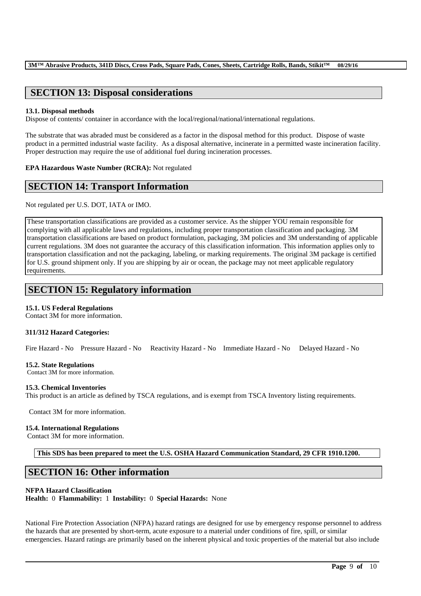# **SECTION 13: Disposal considerations**

### **13.1. Disposal methods**

Dispose of contents/ container in accordance with the local/regional/national/international regulations.

The substrate that was abraded must be considered as a factor in the disposal method for this product. Dispose of waste product in a permitted industrial waste facility. As a disposal alternative, incinerate in a permitted waste incineration facility. Proper destruction may require the use of additional fuel during incineration processes.

**EPA Hazardous Waste Number (RCRA):** Not regulated

# **SECTION 14: Transport Information**

Not regulated per U.S. DOT, IATA or IMO.

These transportation classifications are provided as a customer service. As the shipper YOU remain responsible for complying with all applicable laws and regulations, including proper transportation classification and packaging. 3M transportation classifications are based on product formulation, packaging, 3M policies and 3M understanding of applicable current regulations. 3M does not guarantee the accuracy of this classification information. This information applies only to transportation classification and not the packaging, labeling, or marking requirements. The original 3M package is certified for U.S. ground shipment only. If you are shipping by air or ocean, the package may not meet applicable regulatory requirements.

# **SECTION 15: Regulatory information**

## **15.1. US Federal Regulations**

Contact 3M for more information.

## **311/312 Hazard Categories:**

Fire Hazard - No Pressure Hazard - No Reactivity Hazard - No Immediate Hazard - No Delayed Hazard - No

### **15.2. State Regulations**

Contact 3M for more information.

### **15.3. Chemical Inventories**

This product is an article as defined by TSCA regulations, and is exempt from TSCA Inventory listing requirements.

Contact 3M for more information.

### **15.4. International Regulations**

Contact 3M for more information.

**This SDS has been prepared to meet the U.S. OSHA Hazard Communication Standard, 29 CFR 1910.1200.**

# **SECTION 16: Other information**

### **NFPA Hazard Classification**

**Health:** 0 **Flammability:** 1 **Instability:** 0 **Special Hazards:** None

National Fire Protection Association (NFPA) hazard ratings are designed for use by emergency response personnel to address the hazards that are presented by short-term, acute exposure to a material under conditions of fire, spill, or similar emergencies. Hazard ratings are primarily based on the inherent physical and toxic properties of the material but also include